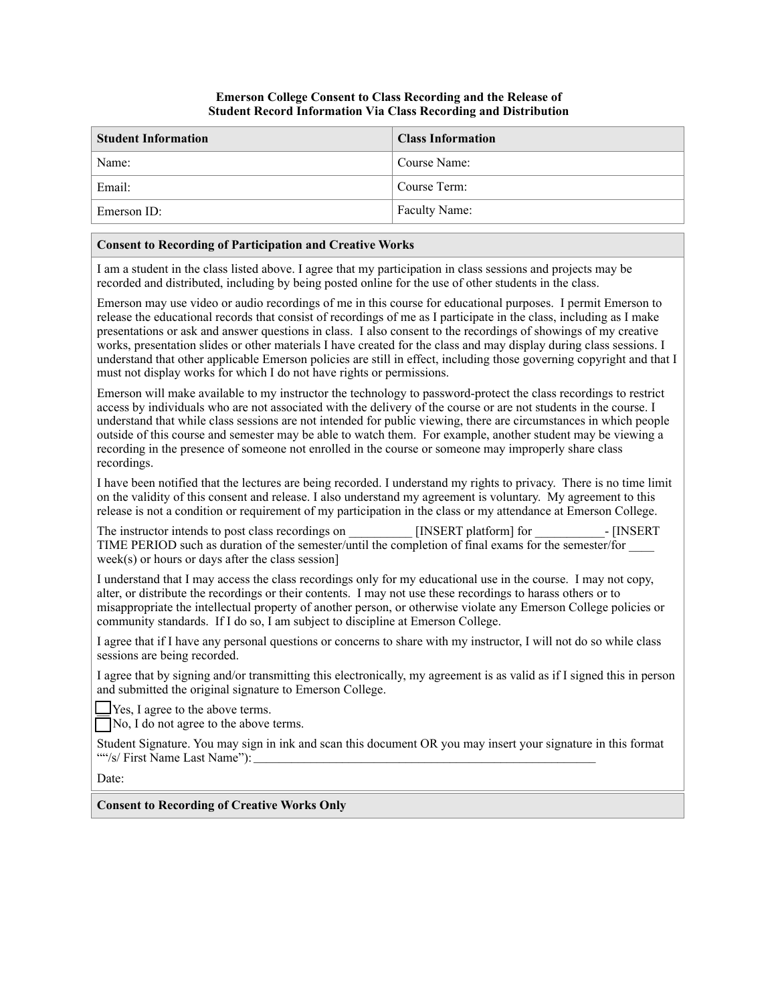## **Emerson College Consent to Class Recording and the Release of Student Record Information Via Class Recording and Distribution**

| <b>Student Information</b> | <b>Class Information</b> |
|----------------------------|--------------------------|
| Name:                      | Course Name:             |
| Email:                     | Course Term:             |
| Emerson ID:                | Faculty Name:            |

## **Consent to Recording of Participation and Creative Works**

I am a student in the class listed above. I agree that my participation in class sessions and projects may be recorded and distributed, including by being posted online for the use of other students in the class.

Emerson may use video or audio recordings of me in this course for educational purposes. I permit Emerson to release the educational records that consist of recordings of me as I participate in the class, including as I make presentations or ask and answer questions in class. I also consent to the recordings of showings of my creative works, presentation slides or other materials I have created for the class and may display during class sessions. I understand that other applicable Emerson policies are still in effect, including those governing copyright and that I must not display works for which I do not have rights or permissions.

Emerson will make available to my instructor the technology to password-protect the class recordings to restrict access by individuals who are not associated with the delivery of the course or are not students in the course. I understand that while class sessions are not intended for public viewing, there are circumstances in which people outside of this course and semester may be able to watch them. For example, another student may be viewing a recording in the presence of someone not enrolled in the course or someone may improperly share class recordings.

I have been notified that the lectures are being recorded. I understand my rights to privacy. There is no time limit on the validity of this consent and release. I also understand my agreement is voluntary. My agreement to this release is not a condition or requirement of my participation in the class or my attendance at Emerson College.

The instructor intends to post class recordings on  $[INSERT\; platform]$  for  $[INSERT\;$ TIME PERIOD such as duration of the semester/until the completion of final exams for the semester/for \_\_\_\_ week(s) or hours or days after the class session]

I understand that I may access the class recordings only for my educational use in the course. I may not copy, alter, or distribute the recordings or their contents. I may not use these recordings to harass others or to misappropriate the intellectual property of another person, or otherwise violate any Emerson College policies or community standards. If I do so, I am subject to discipline at Emerson College.

I agree that if I have any personal questions or concerns to share with my instructor, I will not do so while class sessions are being recorded.

I agree that by signing and/or transmitting this electronically, my agreement is as valid as if I signed this in person and submitted the original signature to Emerson College.

Yes, I agree to the above terms.

 $\n  $\sqrt{\frac{1}{10}}$  No, I do not agree to the above terms.$ 

Student Signature. You may sign in ink and scan this document OR you may insert your signature in this format ""/s/ First Name Last Name"):

Date:

## **Consent to Recording of Creative Works Only**